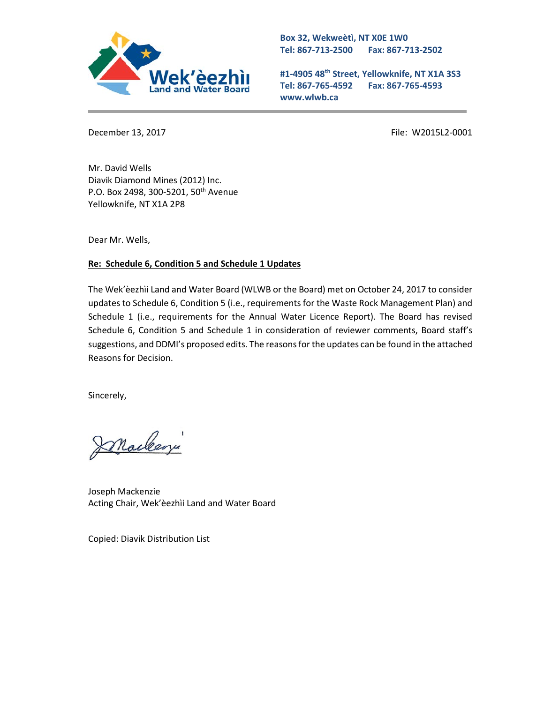

**Box 32, Wekweètì, NT X0E 1W0 Tel: 867-713-2500 Fax: 867-713-2502** 

**#1-4905 48th Street, Yellowknife, NT X1A 3S3 Tel: 867-765-4592 Fax: 867-765-4593 www.wlwb.ca**

December 13, 2017 **File: W2015L2-0001** 

Mr. David Wells Diavik Diamond Mines (2012) Inc. P.O. Box 2498, 300-5201, 50<sup>th</sup> Avenue Yellowknife, NT X1A 2P8

Dear Mr. Wells,

## **Re: Schedule 6, Condition 5 and Schedule 1 Updates**

The Wek'èezhìi Land and Water Board (WLWB or the Board) met on October 24, 2017 to consider updates to Schedule 6, Condition 5 (i.e., requirements for the Waste Rock Management Plan) and Schedule 1 (i.e., requirements for the Annual Water Licence Report). The Board has revised Schedule 6, Condition 5 and Schedule 1 in consideration of reviewer comments, Board staff's suggestions, and DDMI's proposed edits. The reasons for the updates can be found in the attached Reasons for Decision.

Sincerely,

maclean

Joseph Mackenzie Acting Chair, Wek'èezhìi Land and Water Board

Copied: Diavik Distribution List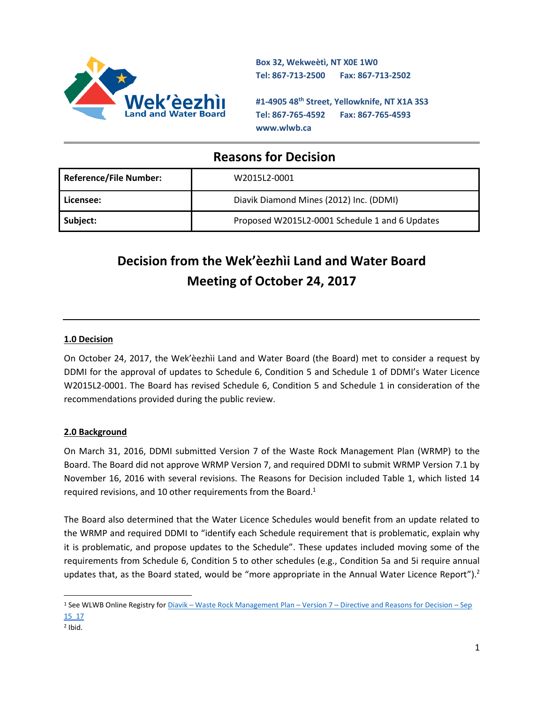

**Box 32, Wekweètì, NT X0E 1W0 Tel: 867-713-2500 Fax: 867-713-2502** 

**#1-4905 48th Street, Yellowknife, NT X1A 3S3 Tel: 867-765-4592 Fax: 867-765-4593 www.wlwb.ca**

## **Reasons for Decision**

| <b>Reference/File Number:</b> | W2015L2-0001                                   |
|-------------------------------|------------------------------------------------|
| Licensee:                     | Diavik Diamond Mines (2012) Inc. (DDMI)        |
| Subject:                      | Proposed W2015L2-0001 Schedule 1 and 6 Updates |

# **Decision from the Wek'èezhìi Land and Water Board Meeting of October 24, 2017**

## **1.0 Decision**

On October 24, 2017, the Wek'èezhìi Land and Water Board (the Board) met to consider a request by DDMI for the approval of updates to Schedule 6, Condition 5 and Schedule 1 of DDMI's Water Licence W2015L2-0001. The Board has revised Schedule 6, Condition 5 and Schedule 1 in consideration of the recommendations provided during the public review.

## **2.0 Background**

On March 31, 2016, DDMI submitted Version 7 of the Waste Rock Management Plan (WRMP) to the Board. The Board did not approve WRMP Version 7, and required DDMI to submit WRMP Version 7.1 by November 16, 2016 with several revisions. The Reasons for Decision included Table 1, which listed 14 required revisions, and 10 other requirements from the Board.<sup>1</sup>

The Board also determined that the Water Licence Schedules would benefit from an update related to the WRMP and required DDMI to "identify each Schedule requirement that is problematic, explain why it is problematic, and propose updates to the Schedule". These updates included moving some of the requirements from Schedule 6, Condition 5 to other schedules (e.g., Condition 5a and 5i require annual updates that, as the Board stated, would be "more appropriate in the Annual Water Licence Report").<sup>2</sup>

 $\overline{a}$ 

<sup>1</sup> See WLWB Online Registry for Diavik – Waste Rock Management Plan – Version 7 – [Directive and Reasons for Decision](http://registry.mvlwb.ca/Documents/W2015L2-0001/Diavik%20-%20Waste%20Rock%20Management%20Plan%20-%20Version%207%20-%20Directive%20and%20Reasons%20for%20Decision%20-%20Sep%2015_16.pdf) – Sep [15\\_17](http://registry.mvlwb.ca/Documents/W2015L2-0001/Diavik%20-%20Waste%20Rock%20Management%20Plan%20-%20Version%207%20-%20Directive%20and%20Reasons%20for%20Decision%20-%20Sep%2015_16.pdf)

<sup>2</sup> Ibid.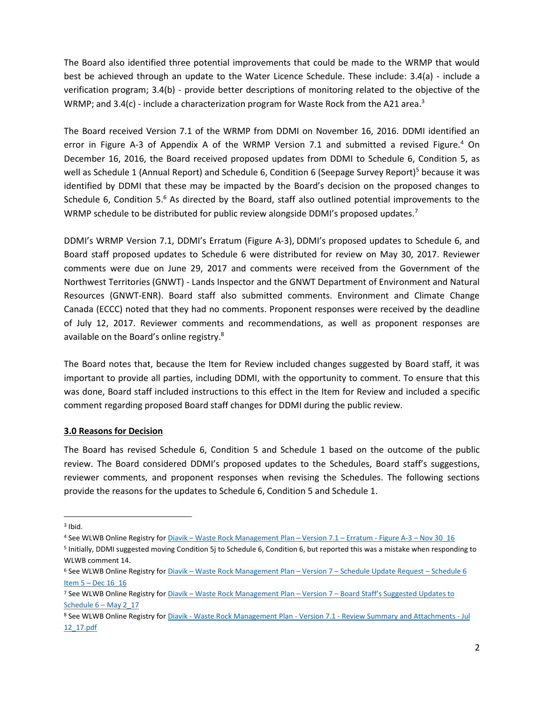The Board also identified three potential improvements that could be made to the WRMP that would best be achieved through an update to the Water Licence Schedule. These include: 3.4(a) - include a verification program; 3.4(b) - provide better descriptions of monitoring related to the objective of the WRMP; and 3.4(c) - include a characterization program for Waste Rock from the A21 area.<sup>3</sup>

The Board received Version 7.1 of the WRMP from DDMI on November 16, 2016. DDMI identified an error in Figure A-3 of Appendix A of the WRMP Version 7.1 and submitted a revised Figure.<sup>4</sup> On December 16, 2016, the Board received proposed updates from DDMI to Schedule 6, Condition 5, as well as Schedule 1 (Annual Report) and Schedule 6, Condition 6 (Seepage Survey Report)<sup>5</sup> because it was identified by DDMI that these may be impacted by the Board's decision on the proposed changes to Schedule 6, Condition 5.<sup>6</sup> As directed by the Board, staff also outlined potential improvements to the WRMP schedule to be distributed for public review alongside DDMI's proposed updates.<sup>7</sup>

DDMI's WRMP Version 7.1, DDMI's Erratum (Figure A-3), DDMI's proposed updates to Schedule 6, and Board staff proposed updates to Schedule 6 were distributed for review on May 30, 2017. Reviewer comments were due on June 29, 2017 and comments were received from the Government of the Northwest Territories (GNWT) - Lands Inspector and the GNWT Department of Environment and Natural Resources (GNWT-ENR). Board staff also submitted comments. Environment and Climate Change Canada (ECCC) noted that they had no comments. Proponent responses were received by the deadline of July 12, 2017. Reviewer comments and recommendations, as well as proponent responses are available on the Board's online registry.<sup>8</sup>

The Board notes that, because the Item for Review included changes suggested by Board staff, it was important to provide all parties, including DDMI, with the opportunity to comment. To ensure that this was done, Board staff included instructions to this effect in the Item for Review and included a specific comment regarding proposed Board staff changes for DDMI during the public review.

#### **3.0 Reasons for Decision**

The Board has revised Schedule 6, Condition 5 and Schedule 1 based on the outcome of the public review. The Board considered DDMI's proposed updates to the Schedules, Board staff's suggestions, reviewer comments, and proponent responses when revising the Schedules. The following sections provide the reasons for the updates to Schedule 6, Condition 5 and Schedule 1.

l

<sup>3</sup> Ibid.

<sup>4</sup> See WLWB Online Registry for Diavik – [Waste Rock Management Plan](http://registry.mvlwb.ca/Documents/W2015L2-0001/Diavik%20-%20Waste%20Rock%20Management%20Plan%20-%20Version%207.1%20-%20Erratum%20-%20Figure%20A-3%20-%20%20Nov%2030_16.pdf) – Version 7.1 – Erratum - Figure A-3 – Nov 30\_16

<sup>&</sup>lt;sup>5</sup> Initially, DDMI suggested moving Condition 5j to Schedule 6, Condition 6, but reported this was a mistake when responding to WLWB comment 14.

<sup>6</sup> See WLWB Online Registry for Diavik – [Waste Rock Management Plan](http://registry.mvlwb.ca/Documents/W2015L2-0001/Diavik%20-%20Waste%20Rock%20Management%20Plan%20-%20Version%207%20-%20Schedule%20Update%20Request%20-%20Schedule%206%20Item%205%20-%20Dec%2016_16.pdf) – Version 7 – Schedule Update Request – Schedule 6 Item 5 – [Dec 16\\_16](http://registry.mvlwb.ca/Documents/W2015L2-0001/Diavik%20-%20Waste%20Rock%20Management%20Plan%20-%20Version%207%20-%20Schedule%20Update%20Request%20-%20Schedule%206%20Item%205%20-%20Dec%2016_16.pdf)

<sup>7</sup> See WLWB Online Registry for Diavik – [Waste Rock Management Plan](http://registry.mvlwb.ca/Documents/W2015L2-0001/Diavik%20-%20Waste%20Rock%20Management%20Plan%20-%20Version%207%20-%20Board%20Staff%27s%20Suggested%20Updates%20to%20Schedule%206%20-%20May%202_17.pdf) – Version 7 – Board Staff's Suggested Updates to Schedule  $6 -$  May 2\_17

<sup>8</sup> See WLWB Online Registry for Diavik - Waste Rock Management Plan - Version 7.1 - [Review Summary and Attachments -](http://registry.mvlwb.ca/Documents/W2015L2-0001/Diavik%20-%20Waste%20Rock%20Management%20Plan%20-%20Version%207.1%20-%20Review%20Summary%20and%20Attachments%20-%20Jul%2012_17.pdf) Jul [12\\_17.pdf](http://registry.mvlwb.ca/Documents/W2015L2-0001/Diavik%20-%20Waste%20Rock%20Management%20Plan%20-%20Version%207.1%20-%20Review%20Summary%20and%20Attachments%20-%20Jul%2012_17.pdf)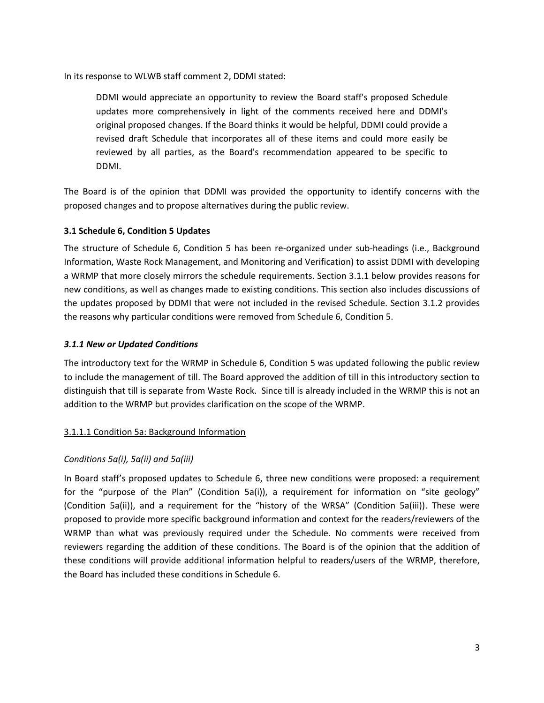In its response to WLWB staff comment 2, DDMI stated:

DDMI would appreciate an opportunity to review the Board staff's proposed Schedule updates more comprehensively in light of the comments received here and DDMI's original proposed changes. If the Board thinks it would be helpful, DDMI could provide a revised draft Schedule that incorporates all of these items and could more easily be reviewed by all parties, as the Board's recommendation appeared to be specific to DDMI.

The Board is of the opinion that DDMI was provided the opportunity to identify concerns with the proposed changes and to propose alternatives during the public review.

#### **3.1 Schedule 6, Condition 5 Updates**

The structure of Schedule 6, Condition 5 has been re-organized under sub-headings (i.e., Background Information, Waste Rock Management, and Monitoring and Verification) to assist DDMI with developing a WRMP that more closely mirrors the schedule requirements. Section 3.1.1 below provides reasons for new conditions, as well as changes made to existing conditions. This section also includes discussions of the updates proposed by DDMI that were not included in the revised Schedule. Section 3.1.2 provides the reasons why particular conditions were removed from Schedule 6, Condition 5.

#### *3.1.1 New or Updated Conditions*

The introductory text for the WRMP in Schedule 6, Condition 5 was updated following the public review to include the management of till. The Board approved the addition of till in this introductory section to distinguish that till is separate from Waste Rock. Since till is already included in the WRMP this is not an addition to the WRMP but provides clarification on the scope of the WRMP.

## 3.1.1.1 Condition 5a: Background Information

## *Conditions 5a(i), 5a(ii) and 5a(iii)*

In Board staff's proposed updates to Schedule 6, three new conditions were proposed: a requirement for the "purpose of the Plan" (Condition 5a(i)), a requirement for information on "site geology" (Condition 5a(ii)), and a requirement for the "history of the WRSA" (Condition 5a(iii)). These were proposed to provide more specific background information and context for the readers/reviewers of the WRMP than what was previously required under the Schedule. No comments were received from reviewers regarding the addition of these conditions. The Board is of the opinion that the addition of these conditions will provide additional information helpful to readers/users of the WRMP, therefore, the Board has included these conditions in Schedule 6.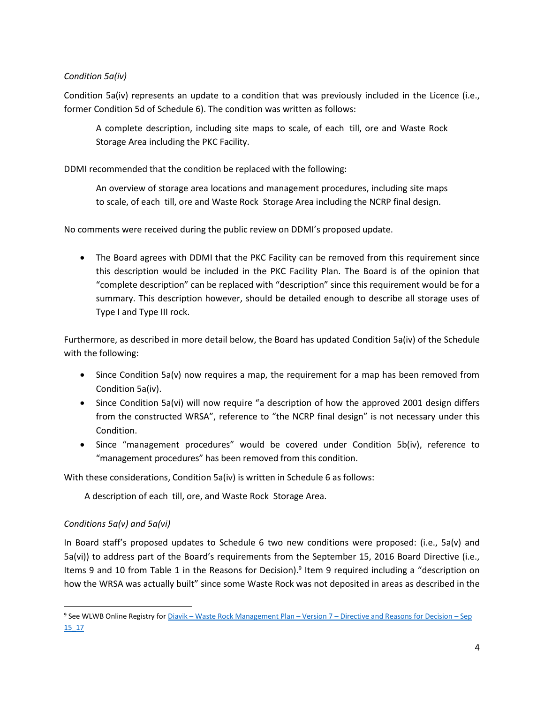## *Condition 5a(iv)*

Condition 5a(iv) represents an update to a condition that was previously included in the Licence (i.e., former Condition 5d of Schedule 6). The condition was written as follows:

A complete description, including site maps to scale, of each till, ore and Waste Rock Storage Area including the PKC Facility.

DDMI recommended that the condition be replaced with the following:

An overview of storage area locations and management procedures, including site maps to scale, of each till, ore and Waste Rock Storage Area including the NCRP final design.

No comments were received during the public review on DDMI's proposed update.

• The Board agrees with DDMI that the PKC Facility can be removed from this requirement since this description would be included in the PKC Facility Plan. The Board is of the opinion that "complete description" can be replaced with "description" since this requirement would be for a summary. This description however, should be detailed enough to describe all storage uses of Type I and Type III rock.

Furthermore, as described in more detail below, the Board has updated Condition 5a(iv) of the Schedule with the following:

- Since Condition 5a(v) now requires a map, the requirement for a map has been removed from Condition 5a(iv).
- Since Condition 5a(vi) will now require "a description of how the approved 2001 design differs from the constructed WRSA", reference to "the NCRP final design" is not necessary under this Condition.
- Since "management procedures" would be covered under Condition 5b(iv), reference to "management procedures" has been removed from this condition.

With these considerations, Condition 5a(iv) is written in Schedule 6 as follows:

A description of each till, ore, and Waste Rock Storage Area.

## *Conditions 5a(v) and 5a(vi)*

 $\overline{a}$ 

In Board staff's proposed updates to Schedule 6 two new conditions were proposed: (i.e., 5a(v) and 5a(vi)) to address part of the Board's requirements from the September 15, 2016 Board Directive (i.e., Items 9 and 10 from Table 1 in the Reasons for Decision).<sup>9</sup> Item 9 required including a "description on how the WRSA was actually built" since some Waste Rock was not deposited in areas as described in the

<sup>9</sup> See WLWB Online Registry for Diavik – Waste Rock Management Plan – Version 7 – [Directive and Reasons for Decision](http://registry.mvlwb.ca/Documents/W2015L2-0001/Diavik%20-%20Waste%20Rock%20Management%20Plan%20-%20Version%207%20-%20Directive%20and%20Reasons%20for%20Decision%20-%20Sep%2015_16.pdf) – Sep [15\\_17](http://registry.mvlwb.ca/Documents/W2015L2-0001/Diavik%20-%20Waste%20Rock%20Management%20Plan%20-%20Version%207%20-%20Directive%20and%20Reasons%20for%20Decision%20-%20Sep%2015_16.pdf)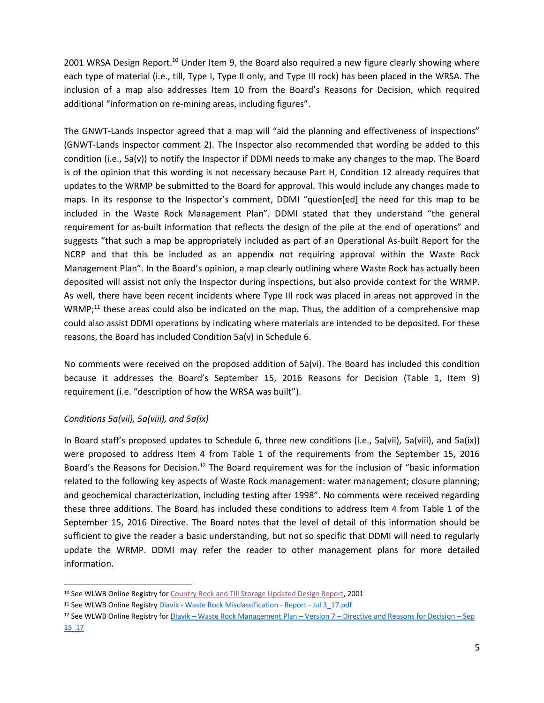2001 WRSA Design Report.<sup>10</sup> Under Item 9, the Board also required a new figure clearly showing where each type of material (i.e., till, Type I, Type II only, and Type III rock) has been placed in the WRSA. The inclusion of a map also addresses Item 10 from the Board's Reasons for Decision, which required additional "information on re-mining areas, including figures".

The GNWT-Lands Inspector agreed that a map will "aid the planning and effectiveness of inspections" (GNWT-Lands Inspector comment 2). The Inspector also recommended that wording be added to this condition (i.e., 5a(v)) to notify the Inspector if DDMI needs to make any changes to the map. The Board is of the opinion that this wording is not necessary because Part H, Condition 12 already requires that updates to the WRMP be submitted to the Board for approval. This would include any changes made to maps. In its response to the Inspector's comment, DDMI "question[ed] the need for this map to be included in the Waste Rock Management Plan". DDMI stated that they understand "the general requirement for as-built information that reflects the design of the pile at the end of operations" and suggests "that such a map be appropriately included as part of an Operational As-built Report for the NCRP and that this be included as an appendix not requiring approval within the Waste Rock Management Plan". In the Board's opinion, a map clearly outlining where Waste Rock has actually been deposited will assist not only the Inspector during inspections, but also provide context for the WRMP. As well, there have been recent incidents where Type III rock was placed in areas not approved in the  $WRMP;^{11}$  these areas could also be indicated on the map. Thus, the addition of a comprehensive map could also assist DDMI operations by indicating where materials are intended to be deposited. For these reasons, the Board has included Condition 5a(v) in Schedule 6.

No comments were received on the proposed addition of 5a(vi). The Board has included this condition because it addresses the Board's September 15, 2016 Reasons for Decision (Table 1, Item 9) requirement (i.e. "description of how the WRSA was built").

## *Conditions 5a(vii), 5a(viii), and 5a(ix)*

 $\overline{\phantom{a}}$ 

In Board staff's proposed updates to Schedule 6, three new conditions (i.e., 5a(vii), 5a(viii), and 5a(ix)) were proposed to address Item 4 from Table 1 of the requirements from the September 15, 2016 Board's the Reasons for Decision.<sup>12</sup> The Board requirement was for the inclusion of "basic information related to the following key aspects of Waste Rock management: water management; closure planning; and geochemical characterization, including testing after 1998". No comments were received regarding these three additions. The Board has included these conditions to address Item 4 from Table 1 of the September 15, 2016 Directive. The Board notes that the level of detail of this information should be sufficient to give the reader a basic understanding, but not so specific that DDMI will need to regularly update the WRMP. DDMI may refer the reader to other management plans for more detailed information.

<sup>10</sup> See WLWB Online Registry for [Country Rock and Till Storage Updated Design Report,](http://registry.mvlwb.ca/Documents/N7L2-1645/N7L2-1645%20-%20Diavik%20-%20Country%20Rock%20and%20Till%20Storage%20Update%20Design%20Report%20-%20Aug%202001%20-%20Aug%2021_01.pdf) 2001

<sup>&</sup>lt;sup>11</sup> See WLWB Online Registry Diavik - [Waste Rock Misclassification -](http://registry.mvlwb.ca/Documents/W2015L2-0001/Diavik%20-%20Waste%20Rock%20Misclassification%20-%20Report%20-%20Jul%203_17.pdf) Report - Jul 3\_17.pdf

<sup>12</sup> See WLWB Online Registry for Diavik – Waste Rock Management Plan – Version 7 – [Directive and Reasons for Decision](http://registry.mvlwb.ca/Documents/W2015L2-0001/Diavik%20-%20Waste%20Rock%20Management%20Plan%20-%20Version%207%20-%20Directive%20and%20Reasons%20for%20Decision%20-%20Sep%2015_16.pdf) – Sep [15\\_17](http://registry.mvlwb.ca/Documents/W2015L2-0001/Diavik%20-%20Waste%20Rock%20Management%20Plan%20-%20Version%207%20-%20Directive%20and%20Reasons%20for%20Decision%20-%20Sep%2015_16.pdf)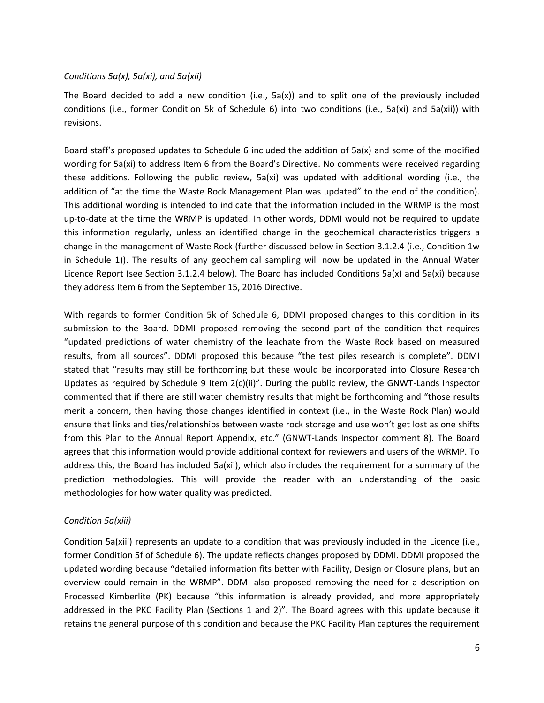#### *Conditions 5a(x), 5a(xi), and 5a(xii)*

The Board decided to add a new condition (i.e., 5a(x)) and to split one of the previously included conditions (i.e., former Condition 5k of Schedule 6) into two conditions (i.e., 5a(xi) and 5a(xii)) with revisions.

Board staff's proposed updates to Schedule 6 included the addition of 5a(x) and some of the modified wording for 5a(xi) to address Item 6 from the Board's Directive. No comments were received regarding these additions. Following the public review, 5a(xi) was updated with additional wording (i.e., the addition of "at the time the Waste Rock Management Plan was updated" to the end of the condition). This additional wording is intended to indicate that the information included in the WRMP is the most up-to-date at the time the WRMP is updated. In other words, DDMI would not be required to update this information regularly, unless an identified change in the geochemical characteristics triggers a change in the management of Waste Rock (further discussed below in Section 3.1.2.4 (i.e., Condition 1w in Schedule 1)). The results of any geochemical sampling will now be updated in the Annual Water Licence Report (see Section 3.1.2.4 below). The Board has included Conditions 5a(x) and 5a(xi) because they address Item 6 from the September 15, 2016 Directive.

With regards to former Condition 5k of Schedule 6, DDMI proposed changes to this condition in its submission to the Board. DDMI proposed removing the second part of the condition that requires "updated predictions of water chemistry of the leachate from the Waste Rock based on measured results, from all sources". DDMI proposed this because "the test piles research is complete". DDMI stated that "results may still be forthcoming but these would be incorporated into Closure Research Updates as required by Schedule 9 Item 2(c)(ii)". During the public review, the GNWT-Lands Inspector commented that if there are still water chemistry results that might be forthcoming and "those results merit a concern, then having those changes identified in context (i.e., in the Waste Rock Plan) would ensure that links and ties/relationships between waste rock storage and use won't get lost as one shifts from this Plan to the Annual Report Appendix, etc." (GNWT-Lands Inspector comment 8). The Board agrees that this information would provide additional context for reviewers and users of the WRMP. To address this, the Board has included 5a(xii), which also includes the requirement for a summary of the prediction methodologies. This will provide the reader with an understanding of the basic methodologies for how water quality was predicted.

#### *Condition 5a(xiii)*

Condition 5a(xiii) represents an update to a condition that was previously included in the Licence (i.e., former Condition 5f of Schedule 6). The update reflects changes proposed by DDMI. DDMI proposed the updated wording because "detailed information fits better with Facility, Design or Closure plans, but an overview could remain in the WRMP". DDMI also proposed removing the need for a description on Processed Kimberlite (PK) because "this information is already provided, and more appropriately addressed in the PKC Facility Plan (Sections 1 and 2)". The Board agrees with this update because it retains the general purpose of this condition and because the PKC Facility Plan captures the requirement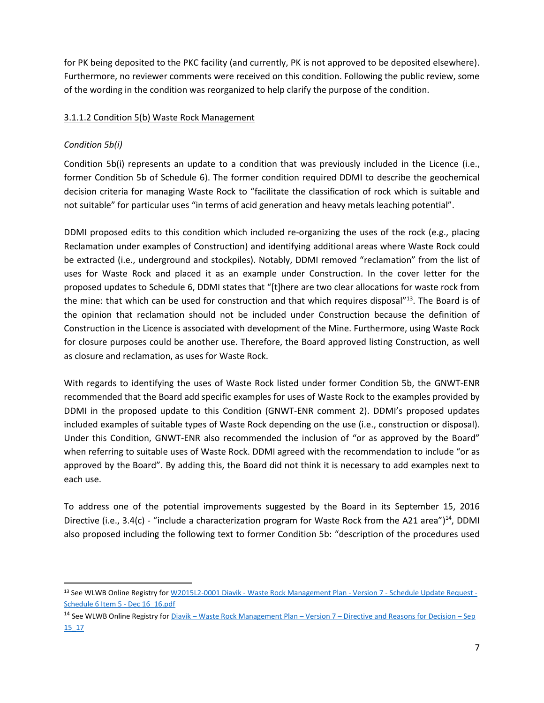for PK being deposited to the PKC facility (and currently, PK is not approved to be deposited elsewhere). Furthermore, no reviewer comments were received on this condition. Following the public review, some of the wording in the condition was reorganized to help clarify the purpose of the condition.

## 3.1.1.2 Condition 5(b) Waste Rock Management

## *Condition 5b(i)*

l

Condition 5b(i) represents an update to a condition that was previously included in the Licence (i.e., former Condition 5b of Schedule 6). The former condition required DDMI to describe the geochemical decision criteria for managing Waste Rock to "facilitate the classification of rock which is suitable and not suitable" for particular uses "in terms of acid generation and heavy metals leaching potential".

DDMI proposed edits to this condition which included re-organizing the uses of the rock (e.g., placing Reclamation under examples of Construction) and identifying additional areas where Waste Rock could be extracted (i.e., underground and stockpiles). Notably, DDMI removed "reclamation" from the list of uses for Waste Rock and placed it as an example under Construction. In the cover letter for the proposed updates to Schedule 6, DDMI states that "[t]here are two clear allocations for waste rock from the mine: that which can be used for construction and that which requires disposal"<sup>13</sup>. The Board is of the opinion that reclamation should not be included under Construction because the definition of Construction in the Licence is associated with development of the Mine. Furthermore, using Waste Rock for closure purposes could be another use. Therefore, the Board approved listing Construction, as well as closure and reclamation, as uses for Waste Rock.

With regards to identifying the uses of Waste Rock listed under former Condition 5b, the GNWT-ENR recommended that the Board add specific examples for uses of Waste Rock to the examples provided by DDMI in the proposed update to this Condition (GNWT-ENR comment 2). DDMI's proposed updates included examples of suitable types of Waste Rock depending on the use (i.e., construction or disposal). Under this Condition, GNWT-ENR also recommended the inclusion of "or as approved by the Board" when referring to suitable uses of Waste Rock. DDMI agreed with the recommendation to include "or as approved by the Board". By adding this, the Board did not think it is necessary to add examples next to each use.

To address one of the potential improvements suggested by the Board in its September 15, 2016 Directive (i.e., 3.4(c) - "include a characterization program for Waste Rock from the A21 area")<sup>14</sup>, DDMI also proposed including the following text to former Condition 5b: "description of the procedures used

<sup>13</sup> See WLWB Online Registry for W2015L2-0001 Diavik - [Waste Rock Management Plan -](http://registry.mvlwb.ca/Documents/W2015L2-0001/Diavik%20-%20Waste%20Rock%20Management%20Plan%20-%20Version%207%20-%20Schedule%20Update%20Request%20-%20Schedule%206%20Item%205%20-%20Dec%2016_16.pdf) Version 7 - Schedule Update Request -[Schedule 6 Item 5 -](http://registry.mvlwb.ca/Documents/W2015L2-0001/Diavik%20-%20Waste%20Rock%20Management%20Plan%20-%20Version%207%20-%20Schedule%20Update%20Request%20-%20Schedule%206%20Item%205%20-%20Dec%2016_16.pdf) Dec 16 16.pdf

<sup>&</sup>lt;sup>14</sup> See WLWB Online Registry for Diavik – Waste Rock Management Plan – Version 7 – [Directive and Reasons for Decision](http://registry.mvlwb.ca/Documents/W2015L2-0001/Diavik%20-%20Waste%20Rock%20Management%20Plan%20-%20Version%207%20-%20Directive%20and%20Reasons%20for%20Decision%20-%20Sep%2015_16.pdf) – Sep [15\\_17](http://registry.mvlwb.ca/Documents/W2015L2-0001/Diavik%20-%20Waste%20Rock%20Management%20Plan%20-%20Version%207%20-%20Directive%20and%20Reasons%20for%20Decision%20-%20Sep%2015_16.pdf)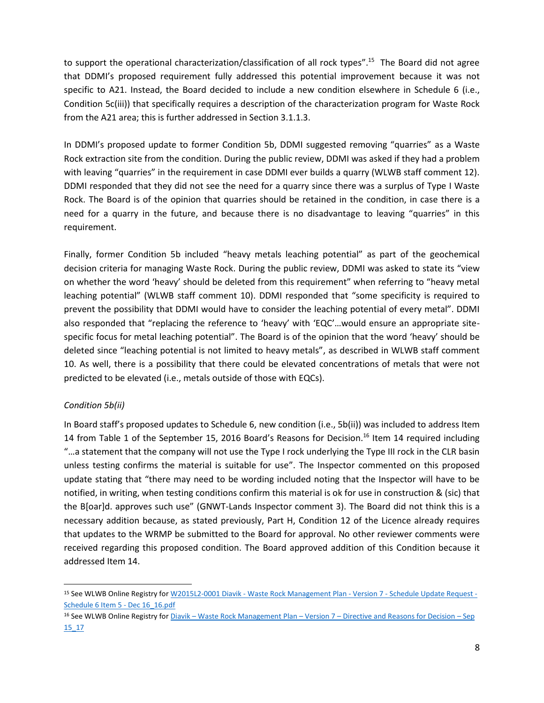to support the operational characterization/classification of all rock types".<sup>15</sup> The Board did not agree that DDMI's proposed requirement fully addressed this potential improvement because it was not specific to A21. Instead, the Board decided to include a new condition elsewhere in Schedule 6 (i.e., Condition 5c(iii)) that specifically requires a description of the characterization program for Waste Rock from the A21 area; this is further addressed in Section 3.1.1.3.

In DDMI's proposed update to former Condition 5b, DDMI suggested removing "quarries" as a Waste Rock extraction site from the condition. During the public review, DDMI was asked if they had a problem with leaving "quarries" in the requirement in case DDMI ever builds a quarry (WLWB staff comment 12). DDMI responded that they did not see the need for a quarry since there was a surplus of Type I Waste Rock. The Board is of the opinion that quarries should be retained in the condition, in case there is a need for a quarry in the future, and because there is no disadvantage to leaving "quarries" in this requirement.

Finally, former Condition 5b included "heavy metals leaching potential" as part of the geochemical decision criteria for managing Waste Rock. During the public review, DDMI was asked to state its "view on whether the word 'heavy' should be deleted from this requirement" when referring to "heavy metal leaching potential" (WLWB staff comment 10). DDMI responded that "some specificity is required to prevent the possibility that DDMI would have to consider the leaching potential of every metal". DDMI also responded that "replacing the reference to 'heavy' with 'EQC'…would ensure an appropriate sitespecific focus for metal leaching potential". The Board is of the opinion that the word 'heavy' should be deleted since "leaching potential is not limited to heavy metals", as described in WLWB staff comment 10. As well, there is a possibility that there could be elevated concentrations of metals that were not predicted to be elevated (i.e., metals outside of those with EQCs).

## *Condition 5b(ii)*

 $\overline{\phantom{a}}$ 

In Board staff's proposed updates to Schedule 6, new condition (i.e., 5b(ii)) was included to address Item 14 from Table 1 of the September 15, 2016 Board's Reasons for Decision.<sup>16</sup> Item 14 required including "…a statement that the company will not use the Type I rock underlying the Type III rock in the CLR basin unless testing confirms the material is suitable for use". The Inspector commented on this proposed update stating that "there may need to be wording included noting that the Inspector will have to be notified, in writing, when testing conditions confirm this material is ok for use in construction & (sic) that the B[oar]d. approves such use" (GNWT-Lands Inspector comment 3). The Board did not think this is a necessary addition because, as stated previously, Part H, Condition 12 of the Licence already requires that updates to the WRMP be submitted to the Board for approval. No other reviewer comments were received regarding this proposed condition. The Board approved addition of this Condition because it addressed Item 14.

<sup>15</sup> See WLWB Online Registry for W2015L2-0001 Diavik - [Waste Rock Management Plan -](http://registry.mvlwb.ca/Documents/W2015L2-0001/Diavik%20-%20Waste%20Rock%20Management%20Plan%20-%20Version%207%20-%20Schedule%20Update%20Request%20-%20Schedule%206%20Item%205%20-%20Dec%2016_16.pdf) Version 7 - Schedule Update Request - [Schedule 6 Item 5 -](http://registry.mvlwb.ca/Documents/W2015L2-0001/Diavik%20-%20Waste%20Rock%20Management%20Plan%20-%20Version%207%20-%20Schedule%20Update%20Request%20-%20Schedule%206%20Item%205%20-%20Dec%2016_16.pdf) Dec 16\_16.pdf

<sup>16</sup> See WLWB Online Registry for Diavik – Waste Rock Management Plan – Version 7 – [Directive and Reasons for Decision](http://registry.mvlwb.ca/Documents/W2015L2-0001/Diavik%20-%20Waste%20Rock%20Management%20Plan%20-%20Version%207%20-%20Directive%20and%20Reasons%20for%20Decision%20-%20Sep%2015_16.pdf) – Sep [15\\_17](http://registry.mvlwb.ca/Documents/W2015L2-0001/Diavik%20-%20Waste%20Rock%20Management%20Plan%20-%20Version%207%20-%20Directive%20and%20Reasons%20for%20Decision%20-%20Sep%2015_16.pdf)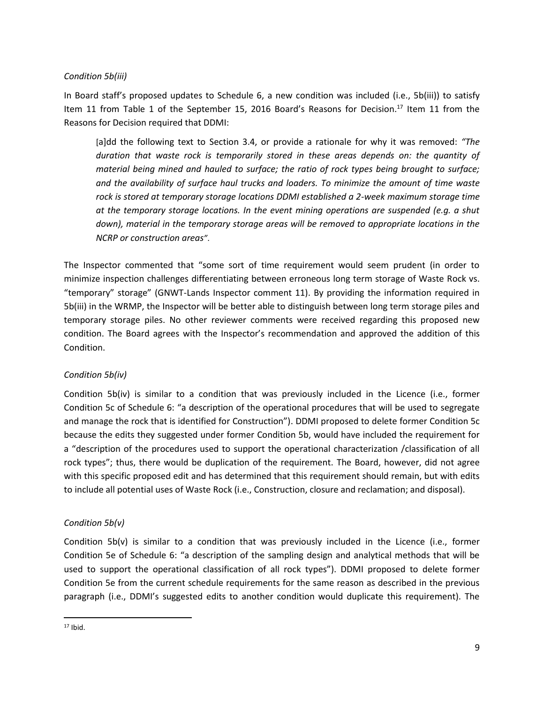#### *Condition 5b(iii)*

In Board staff's proposed updates to Schedule 6, a new condition was included (i.e., 5b(iii)) to satisfy Item 11 from Table 1 of the September 15, 2016 Board's Reasons for Decision.<sup>17</sup> Item 11 from the Reasons for Decision required that DDMI:

[a]dd the following text to Section 3.4, or provide a rationale for why it was removed: *"The duration that waste rock is temporarily stored in these areas depends on: the quantity of material being mined and hauled to surface; the ratio of rock types being brought to surface; and the availability of surface haul trucks and loaders. To minimize the amount of time waste*  rock is stored at temporary storage locations DDMI established a 2-week maximum storage time *at the temporary storage locations. In the event mining operations are suspended (e.g. a shut down), material in the temporary storage areas will be removed to appropriate locations in the NCRP or construction areas"*.

The Inspector commented that "some sort of time requirement would seem prudent (in order to minimize inspection challenges differentiating between erroneous long term storage of Waste Rock vs. "temporary" storage" (GNWT-Lands Inspector comment 11). By providing the information required in 5b(iii) in the WRMP, the Inspector will be better able to distinguish between long term storage piles and temporary storage piles. No other reviewer comments were received regarding this proposed new condition. The Board agrees with the Inspector's recommendation and approved the addition of this Condition.

#### *Condition 5b(iv)*

Condition 5b(iv) is similar to a condition that was previously included in the Licence (i.e., former Condition 5c of Schedule 6: "a description of the operational procedures that will be used to segregate and manage the rock that is identified for Construction"). DDMI proposed to delete former Condition 5c because the edits they suggested under former Condition 5b, would have included the requirement for a "description of the procedures used to support the operational characterization /classification of all rock types"; thus, there would be duplication of the requirement. The Board, however, did not agree with this specific proposed edit and has determined that this requirement should remain, but with edits to include all potential uses of Waste Rock (i.e., Construction, closure and reclamation; and disposal).

#### *Condition 5b(v)*

Condition 5b(v) is similar to a condition that was previously included in the Licence (i.e., former Condition 5e of Schedule 6: "a description of the sampling design and analytical methods that will be used to support the operational classification of all rock types"). DDMI proposed to delete former Condition 5e from the current schedule requirements for the same reason as described in the previous paragraph (i.e., DDMI's suggested edits to another condition would duplicate this requirement). The

 $\overline{\phantom{a}}$ 

<sup>17</sup> Ibid.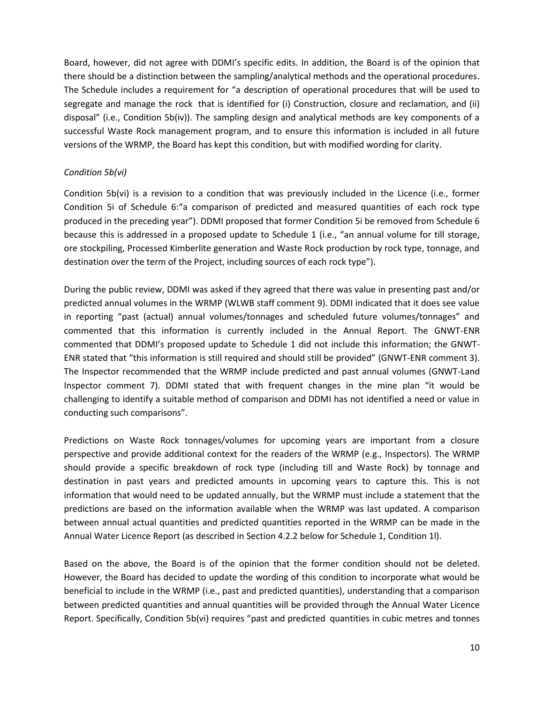Board, however, did not agree with DDMI's specific edits. In addition, the Board is of the opinion that there should be a distinction between the sampling/analytical methods and the operational procedures. The Schedule includes a requirement for "a description of operational procedures that will be used to segregate and manage the rock that is identified for (i) Construction, closure and reclamation, and (ii) disposal" (i.e., Condition 5b(iv)). The sampling design and analytical methods are key components of a successful Waste Rock management program, and to ensure this information is included in all future versions of the WRMP, the Board has kept this condition, but with modified wording for clarity.

#### *Condition 5b(vi)*

Condition 5b(vi) is a revision to a condition that was previously included in the Licence (i.e., former Condition 5i of Schedule 6:"a comparison of predicted and measured quantities of each rock type produced in the preceding year"). DDMI proposed that former Condition 5i be removed from Schedule 6 because this is addressed in a proposed update to Schedule 1 (i.e., "an annual volume for till storage, ore stockpiling, Processed Kimberlite generation and Waste Rock production by rock type, tonnage, and destination over the term of the Project, including sources of each rock type").

During the public review, DDMI was asked if they agreed that there was value in presenting past and/or predicted annual volumes in the WRMP (WLWB staff comment 9). DDMI indicated that it does see value in reporting "past (actual) annual volumes/tonnages and scheduled future volumes/tonnages" and commented that this information is currently included in the Annual Report. The GNWT-ENR commented that DDMI's proposed update to Schedule 1 did not include this information; the GNWT-ENR stated that "this information is still required and should still be provided" (GNWT-ENR comment 3). The Inspector recommended that the WRMP include predicted and past annual volumes (GNWT-Land Inspector comment 7). DDMI stated that with frequent changes in the mine plan "it would be challenging to identify a suitable method of comparison and DDMI has not identified a need or value in conducting such comparisons".

Predictions on Waste Rock tonnages/volumes for upcoming years are important from a closure perspective and provide additional context for the readers of the WRMP (e.g., Inspectors). The WRMP should provide a specific breakdown of rock type (including till and Waste Rock) by tonnage and destination in past years and predicted amounts in upcoming years to capture this. This is not information that would need to be updated annually, but the WRMP must include a statement that the predictions are based on the information available when the WRMP was last updated. A comparison between annual actual quantities and predicted quantities reported in the WRMP can be made in the Annual Water Licence Report (as described in Section 4.2.2 below for Schedule 1, Condition 1l).

Based on the above, the Board is of the opinion that the former condition should not be deleted. However, the Board has decided to update the wording of this condition to incorporate what would be beneficial to include in the WRMP (i.e., past and predicted quantities), understanding that a comparison between predicted quantities and annual quantities will be provided through the Annual Water Licence Report. Specifically, Condition 5b(vi) requires "past and predicted quantities in cubic metres and tonnes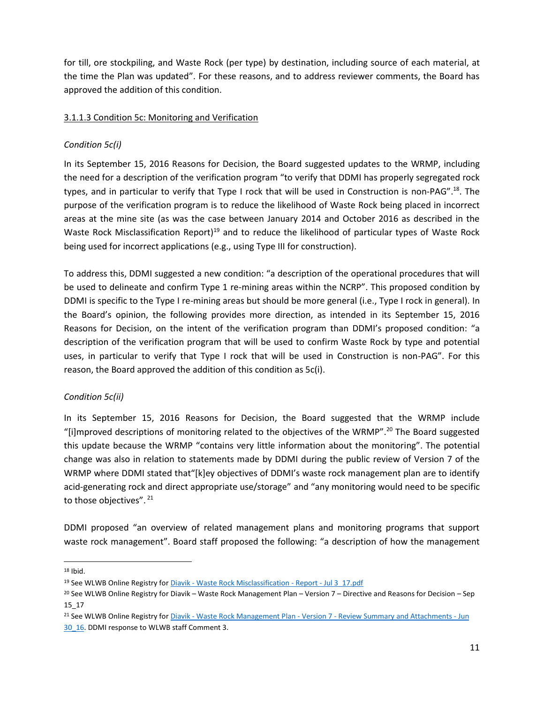for till, ore stockpiling, and Waste Rock (per type) by destination, including source of each material, at the time the Plan was updated". For these reasons, and to address reviewer comments, the Board has approved the addition of this condition.

## 3.1.1.3 Condition 5c: Monitoring and Verification

## *Condition 5c(i)*

In its September 15, 2016 Reasons for Decision, the Board suggested updates to the WRMP, including the need for a description of the verification program "to verify that DDMI has properly segregated rock types, and in particular to verify that Type I rock that will be used in Construction is non-PAG".<sup>18</sup>. The purpose of the verification program is to reduce the likelihood of Waste Rock being placed in incorrect areas at the mine site (as was the case between January 2014 and October 2016 as described in the Waste Rock Misclassification Report)<sup>19</sup> and to reduce the likelihood of particular types of Waste Rock being used for incorrect applications (e.g., using Type III for construction).

To address this, DDMI suggested a new condition: "a description of the operational procedures that will be used to delineate and confirm Type 1 re-mining areas within the NCRP". This proposed condition by DDMI is specific to the Type I re-mining areas but should be more general (i.e., Type I rock in general). In the Board's opinion, the following provides more direction, as intended in its September 15, 2016 Reasons for Decision, on the intent of the verification program than DDMI's proposed condition: "a description of the verification program that will be used to confirm Waste Rock by type and potential uses, in particular to verify that Type I rock that will be used in Construction is non-PAG". For this reason, the Board approved the addition of this condition as 5c(i).

## *Condition 5c(ii)*

In its September 15, 2016 Reasons for Decision, the Board suggested that the WRMP include "[i]mproved descriptions of monitoring related to the objectives of the WRMP".<sup>20</sup> The Board suggested this update because the WRMP "contains very little information about the monitoring". The potential change was also in relation to statements made by DDMI during the public review of Version 7 of the WRMP where DDMI stated that"[k]ey objectives of DDMI's waste rock management plan are to identify acid-generating rock and direct appropriate use/storage" and "any monitoring would need to be specific to those objectives". 21

DDMI proposed "an overview of related management plans and monitoring programs that support waste rock management". Board staff proposed the following: "a description of how the management

 $18$  Ibid.

 $\overline{a}$ 

<sup>&</sup>lt;sup>19</sup> See WLWB Online Registry for Diavik - [Waste Rock Misclassification -](http://registry.mvlwb.ca/Documents/W2015L2-0001/Diavik%20-%20Waste%20Rock%20Misclassification%20-%20Report%20-%20Jul%203_17.pdf) Report - Jul 3\_17.pdf

<sup>20</sup> See WLWB Online Registry for Diavik – Waste Rock Management Plan – Version 7 – Directive and Reasons for Decision – Sep 15\_17

<sup>21</sup> See WLWB Online Registry for Diavik - Waste Rock Management Plan - Version 7 - [Review Summary and Attachments -](http://registry.mvlwb.ca/Documents/W2015L2-0001/Diavik%20-%20Waste%20Rock%20Management%20Plan%20-%20Version%207%20-%20Review%20Summary%20and%20Attachments%20-%20Jun%2030_16.pdf) Jun [30\\_16.](http://registry.mvlwb.ca/Documents/W2015L2-0001/Diavik%20-%20Waste%20Rock%20Management%20Plan%20-%20Version%207%20-%20Review%20Summary%20and%20Attachments%20-%20Jun%2030_16.pdf) DDMI response to WLWB staff Comment 3.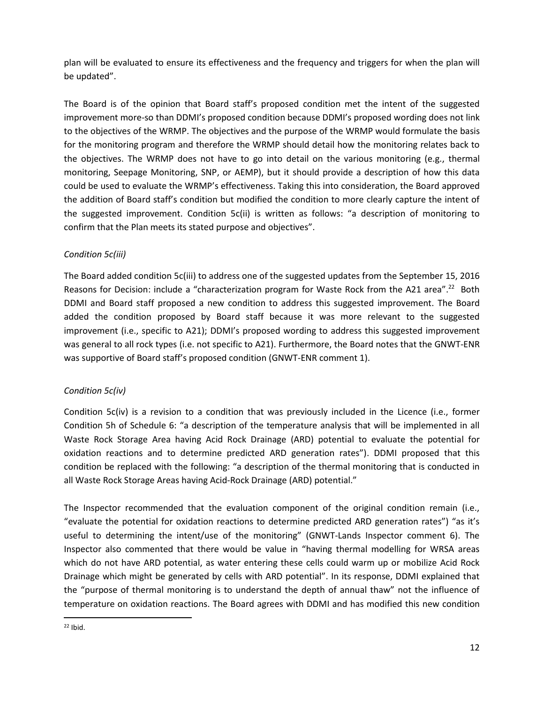plan will be evaluated to ensure its effectiveness and the frequency and triggers for when the plan will be updated".

The Board is of the opinion that Board staff's proposed condition met the intent of the suggested improvement more-so than DDMI's proposed condition because DDMI's proposed wording does not link to the objectives of the WRMP. The objectives and the purpose of the WRMP would formulate the basis for the monitoring program and therefore the WRMP should detail how the monitoring relates back to the objectives. The WRMP does not have to go into detail on the various monitoring (e.g., thermal monitoring, Seepage Monitoring, SNP, or AEMP), but it should provide a description of how this data could be used to evaluate the WRMP's effectiveness. Taking this into consideration, the Board approved the addition of Board staff's condition but modified the condition to more clearly capture the intent of the suggested improvement. Condition 5c(ii) is written as follows: "a description of monitoring to confirm that the Plan meets its stated purpose and objectives".

## *Condition 5c(iii)*

The Board added condition 5c(iii) to address one of the suggested updates from the September 15, 2016 Reasons for Decision: include a "characterization program for Waste Rock from the A21 area".<sup>22</sup> Both DDMI and Board staff proposed a new condition to address this suggested improvement. The Board added the condition proposed by Board staff because it was more relevant to the suggested improvement (i.e., specific to A21); DDMI's proposed wording to address this suggested improvement was general to all rock types (i.e. not specific to A21). Furthermore, the Board notes that the GNWT-ENR was supportive of Board staff's proposed condition (GNWT-ENR comment 1).

## *Condition 5c(iv)*

Condition 5c(iv) is a revision to a condition that was previously included in the Licence (i.e., former Condition 5h of Schedule 6: "a description of the temperature analysis that will be implemented in all Waste Rock Storage Area having Acid Rock Drainage (ARD) potential to evaluate the potential for oxidation reactions and to determine predicted ARD generation rates"). DDMI proposed that this condition be replaced with the following: "a description of the thermal monitoring that is conducted in all Waste Rock Storage Areas having Acid-Rock Drainage (ARD) potential."

The Inspector recommended that the evaluation component of the original condition remain (i.e., "evaluate the potential for oxidation reactions to determine predicted ARD generation rates") "as it's useful to determining the intent/use of the monitoring" (GNWT-Lands Inspector comment 6). The Inspector also commented that there would be value in "having thermal modelling for WRSA areas which do not have ARD potential, as water entering these cells could warm up or mobilize Acid Rock Drainage which might be generated by cells with ARD potential". In its response, DDMI explained that the "purpose of thermal monitoring is to understand the depth of annual thaw" not the influence of temperature on oxidation reactions. The Board agrees with DDMI and has modified this new condition

 $\overline{\phantom{a}}$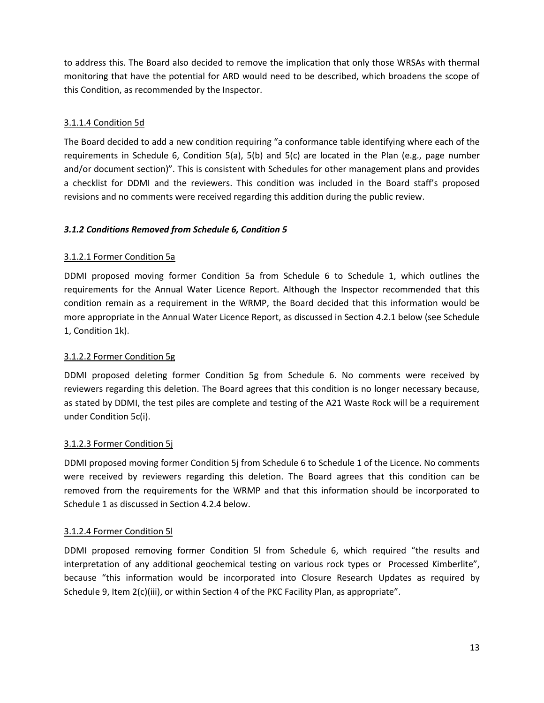to address this. The Board also decided to remove the implication that only those WRSAs with thermal monitoring that have the potential for ARD would need to be described, which broadens the scope of this Condition, as recommended by the Inspector.

## 3.1.1.4 Condition 5d

The Board decided to add a new condition requiring "a conformance table identifying where each of the requirements in Schedule 6, Condition 5(a), 5(b) and 5(c) are located in the Plan (e.g., page number and/or document section)". This is consistent with Schedules for other management plans and provides a checklist for DDMI and the reviewers. This condition was included in the Board staff's proposed revisions and no comments were received regarding this addition during the public review.

## *3.1.2 Conditions Removed from Schedule 6, Condition 5*

## 3.1.2.1 Former Condition 5a

DDMI proposed moving former Condition 5a from Schedule 6 to Schedule 1, which outlines the requirements for the Annual Water Licence Report. Although the Inspector recommended that this condition remain as a requirement in the WRMP, the Board decided that this information would be more appropriate in the Annual Water Licence Report, as discussed in Section 4.2.1 below (see Schedule 1, Condition 1k).

## 3.1.2.2 Former Condition 5g

DDMI proposed deleting former Condition 5g from Schedule 6. No comments were received by reviewers regarding this deletion. The Board agrees that this condition is no longer necessary because, as stated by DDMI, the test piles are complete and testing of the A21 Waste Rock will be a requirement under Condition 5c(i).

## 3.1.2.3 Former Condition 5j

DDMI proposed moving former Condition 5j from Schedule 6 to Schedule 1 of the Licence. No comments were received by reviewers regarding this deletion. The Board agrees that this condition can be removed from the requirements for the WRMP and that this information should be incorporated to Schedule 1 as discussed in Section 4.2.4 below.

## 3.1.2.4 Former Condition 5l

DDMI proposed removing former Condition 5l from Schedule 6, which required "the results and interpretation of any additional geochemical testing on various rock types or Processed Kimberlite", because "this information would be incorporated into Closure Research Updates as required by Schedule 9, Item 2(c)(iii), or within Section 4 of the PKC Facility Plan, as appropriate".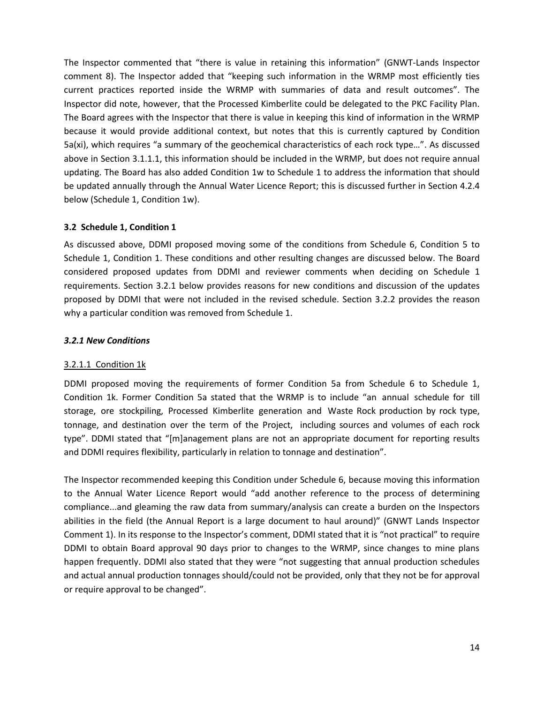The Inspector commented that "there is value in retaining this information" (GNWT-Lands Inspector comment 8). The Inspector added that "keeping such information in the WRMP most efficiently ties current practices reported inside the WRMP with summaries of data and result outcomes". The Inspector did note, however, that the Processed Kimberlite could be delegated to the PKC Facility Plan. The Board agrees with the Inspector that there is value in keeping this kind of information in the WRMP because it would provide additional context, but notes that this is currently captured by Condition 5a(xi), which requires "a summary of the geochemical characteristics of each rock type…". As discussed above in Section 3.1.1.1, this information should be included in the WRMP, but does not require annual updating. The Board has also added Condition 1w to Schedule 1 to address the information that should be updated annually through the Annual Water Licence Report; this is discussed further in Section 4.2.4 below (Schedule 1, Condition 1w).

#### **3.2 Schedule 1, Condition 1**

As discussed above, DDMI proposed moving some of the conditions from Schedule 6, Condition 5 to Schedule 1, Condition 1. These conditions and other resulting changes are discussed below. The Board considered proposed updates from DDMI and reviewer comments when deciding on Schedule 1 requirements. Section 3.2.1 below provides reasons for new conditions and discussion of the updates proposed by DDMI that were not included in the revised schedule. Section 3.2.2 provides the reason why a particular condition was removed from Schedule 1.

#### *3.2.1 New Conditions*

#### 3.2.1.1 Condition 1k

DDMI proposed moving the requirements of former Condition 5a from Schedule 6 to Schedule 1, Condition 1k. Former Condition 5a stated that the WRMP is to include "an annual schedule for till storage, ore stockpiling, Processed Kimberlite generation and Waste Rock production by rock type, tonnage, and destination over the term of the Project, including sources and volumes of each rock type". DDMI stated that "[m]anagement plans are not an appropriate document for reporting results and DDMI requires flexibility, particularly in relation to tonnage and destination".

The Inspector recommended keeping this Condition under Schedule 6, because moving this information to the Annual Water Licence Report would "add another reference to the process of determining compliance...and gleaming the raw data from summary/analysis can create a burden on the Inspectors abilities in the field (the Annual Report is a large document to haul around)" (GNWT Lands Inspector Comment 1). In its response to the Inspector's comment, DDMI stated that it is "not practical" to require DDMI to obtain Board approval 90 days prior to changes to the WRMP, since changes to mine plans happen frequently. DDMI also stated that they were "not suggesting that annual production schedules and actual annual production tonnages should/could not be provided, only that they not be for approval or require approval to be changed".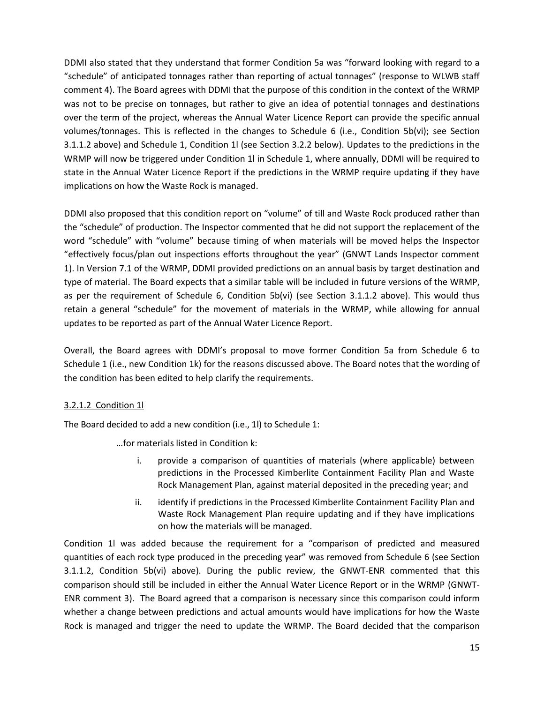DDMI also stated that they understand that former Condition 5a was "forward looking with regard to a "schedule" of anticipated tonnages rather than reporting of actual tonnages" (response to WLWB staff comment 4). The Board agrees with DDMI that the purpose of this condition in the context of the WRMP was not to be precise on tonnages, but rather to give an idea of potential tonnages and destinations over the term of the project, whereas the Annual Water Licence Report can provide the specific annual volumes/tonnages. This is reflected in the changes to Schedule 6 (i.e., Condition 5b(vi); see Section 3.1.1.2 above) and Schedule 1, Condition 1l (see Section 3.2.2 below). Updates to the predictions in the WRMP will now be triggered under Condition 1l in Schedule 1, where annually, DDMI will be required to state in the Annual Water Licence Report if the predictions in the WRMP require updating if they have implications on how the Waste Rock is managed.

DDMI also proposed that this condition report on "volume" of till and Waste Rock produced rather than the "schedule" of production. The Inspector commented that he did not support the replacement of the word "schedule" with "volume" because timing of when materials will be moved helps the Inspector "effectively focus/plan out inspections efforts throughout the year" (GNWT Lands Inspector comment 1). In Version 7.1 of the WRMP, DDMI provided predictions on an annual basis by target destination and type of material. The Board expects that a similar table will be included in future versions of the WRMP, as per the requirement of Schedule 6, Condition 5b(vi) (see Section 3.1.1.2 above). This would thus retain a general "schedule" for the movement of materials in the WRMP, while allowing for annual updates to be reported as part of the Annual Water Licence Report.

Overall, the Board agrees with DDMI's proposal to move former Condition 5a from Schedule 6 to Schedule 1 (i.e., new Condition 1k) for the reasons discussed above. The Board notes that the wording of the condition has been edited to help clarify the requirements.

## 3.2.1.2 Condition 1l

The Board decided to add a new condition (i.e., 1l) to Schedule 1:

…for materials listed in Condition k:

- i. provide a comparison of quantities of materials (where applicable) between predictions in the Processed Kimberlite Containment Facility Plan and Waste Rock Management Plan, against material deposited in the preceding year; and
- ii. identify if predictions in the Processed Kimberlite Containment Facility Plan and Waste Rock Management Plan require updating and if they have implications on how the materials will be managed.

Condition 1l was added because the requirement for a "comparison of predicted and measured quantities of each rock type produced in the preceding year" was removed from Schedule 6 (see Section 3.1.1.2, Condition 5b(vi) above). During the public review, the GNWT-ENR commented that this comparison should still be included in either the Annual Water Licence Report or in the WRMP (GNWT-ENR comment 3). The Board agreed that a comparison is necessary since this comparison could inform whether a change between predictions and actual amounts would have implications for how the Waste Rock is managed and trigger the need to update the WRMP. The Board decided that the comparison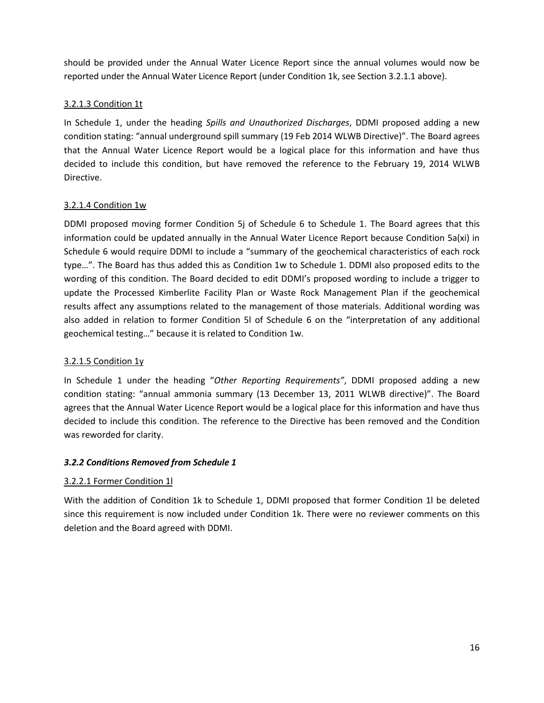should be provided under the Annual Water Licence Report since the annual volumes would now be reported under the Annual Water Licence Report (under Condition 1k, see Section 3.2.1.1 above).

## 3.2.1.3 Condition 1t

In Schedule 1, under the heading *Spills and Unauthorized Discharges*, DDMI proposed adding a new condition stating: "annual underground spill summary (19 Feb 2014 WLWB Directive)". The Board agrees that the Annual Water Licence Report would be a logical place for this information and have thus decided to include this condition, but have removed the reference to the February 19, 2014 WLWB Directive.

## 3.2.1.4 Condition 1w

DDMI proposed moving former Condition 5j of Schedule 6 to Schedule 1. The Board agrees that this information could be updated annually in the Annual Water Licence Report because Condition 5a(xi) in Schedule 6 would require DDMI to include a "summary of the geochemical characteristics of each rock type…". The Board has thus added this as Condition 1w to Schedule 1. DDMI also proposed edits to the wording of this condition. The Board decided to edit DDMI's proposed wording to include a trigger to update the Processed Kimberlite Facility Plan or Waste Rock Management Plan if the geochemical results affect any assumptions related to the management of those materials. Additional wording was also added in relation to former Condition 5l of Schedule 6 on the "interpretation of any additional geochemical testing…" because it is related to Condition 1w.

## 3.2.1.5 Condition 1y

In Schedule 1 under the heading "*Other Reporting Requirements"*, DDMI proposed adding a new condition stating: "annual ammonia summary (13 December 13, 2011 WLWB directive)". The Board agrees that the Annual Water Licence Report would be a logical place for this information and have thus decided to include this condition. The reference to the Directive has been removed and the Condition was reworded for clarity.

## *3.2.2 Conditions Removed from Schedule 1*

## 3.2.2.1 Former Condition 1l

With the addition of Condition 1k to Schedule 1, DDMI proposed that former Condition 1l be deleted since this requirement is now included under Condition 1k. There were no reviewer comments on this deletion and the Board agreed with DDMI.